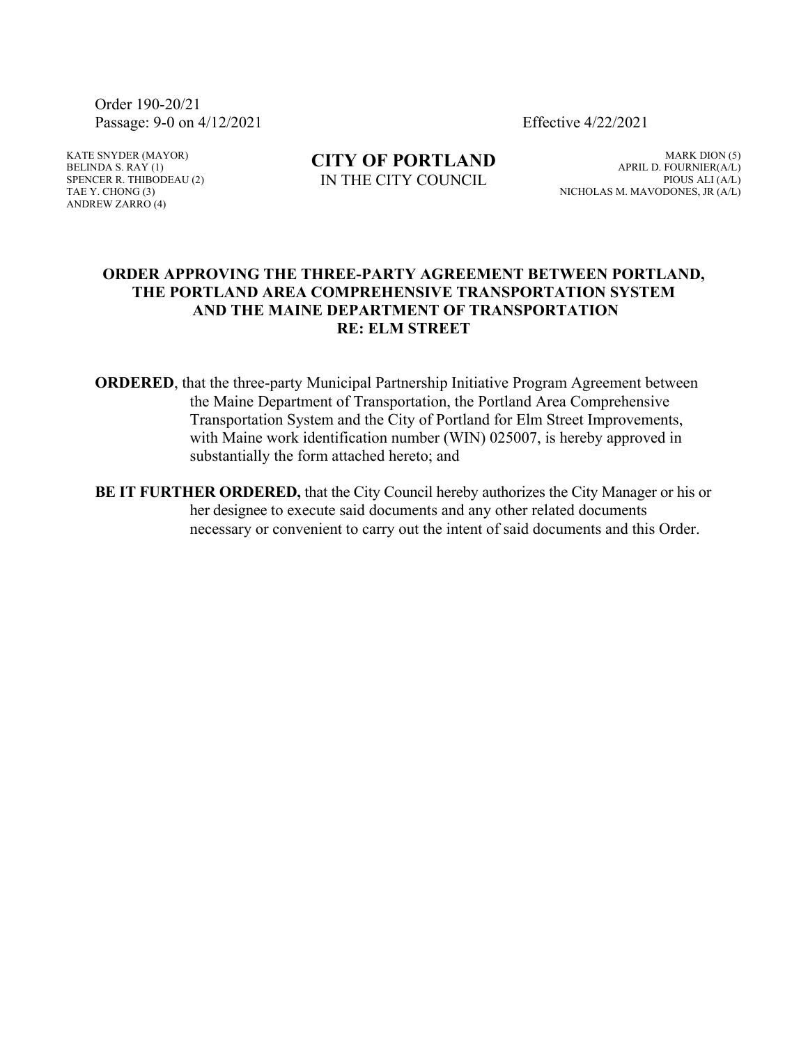Order 190-20/21 Passage: 9-0 on 4/12/2021 Effective 4/22/2021

KATE SNYDER (MAYOR) BELINDA S.  $RAY(1)$ SPENCER R. THIBODEAU (2) TAE Y. CHONG (3) ANDREW ZARRO (4)

**CITY OF PORTLAND** IN THE CITY COUNCIL

MARK DION (5) APRIL D. FOURNIER(A/L) PIOUS ALI (A/L) NICHOLAS M. MAVODONES, JR (A/L)

#### **ORDER APPROVING THE THREE-PARTY AGREEMENT BETWEEN PORTLAND, THE PORTLAND AREA COMPREHENSIVE TRANSPORTATION SYSTEM AND THE MAINE DEPARTMENT OF TRANSPORTATION RE: ELM STREET**

**ORDERED**, that the three-party Municipal Partnership Initiative Program Agreement between the Maine Department of Transportation, the Portland Area Comprehensive Transportation System and the City of Portland for Elm Street Improvements, with Maine work identification number (WIN) 025007, is hereby approved in substantially the form attached hereto; and

**BE IT FURTHER ORDERED,** that the City Council hereby authorizes the City Manager or his or her designee to execute said documents and any other related documents necessary or convenient to carry out the intent of said documents and this Order.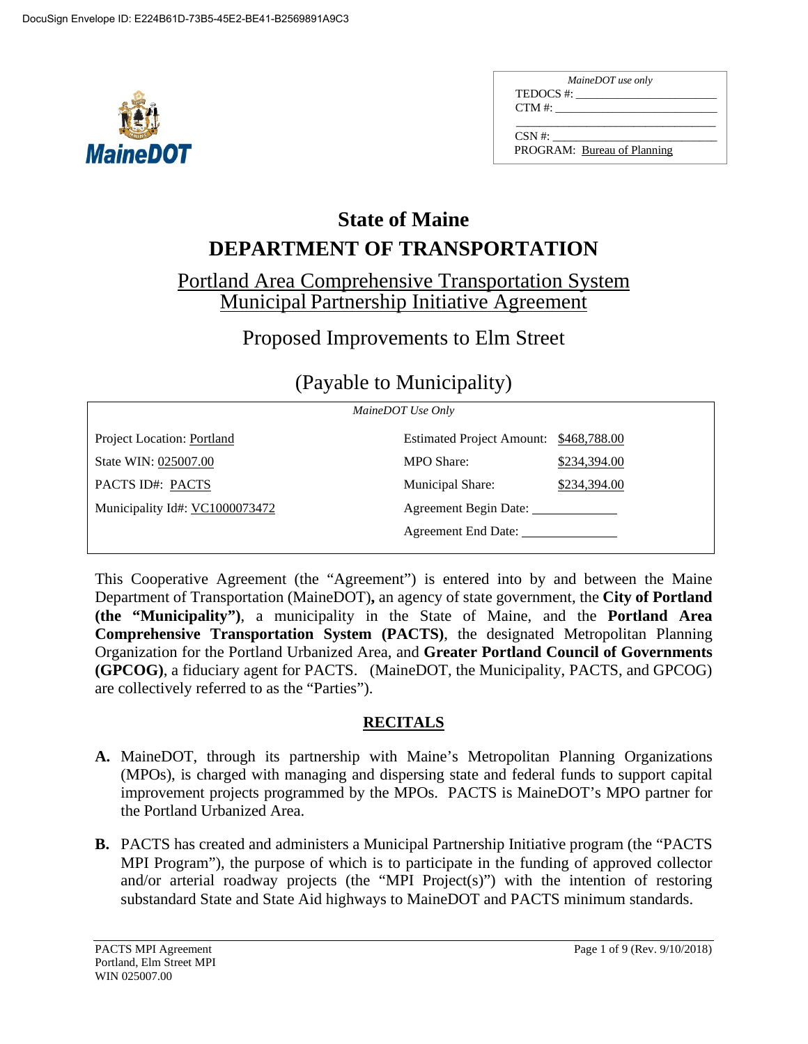

| MaineDOT use only           |  |  |
|-----------------------------|--|--|
| TEDOCS #:                   |  |  |
| $CTM \#$ :                  |  |  |
|                             |  |  |
| $\text{CSN }#$              |  |  |
| PROGRAM: Bureau of Planning |  |  |

# **DEPARTMENT OF TRANSPORTATION State of Maine**

# Portland Area Comprehensive Transportation System Municipal Partnership Initiative Agreement

# Proposed Improvements to Elm Street

# (Payable to Municipality)

| MaineDOT Use Only              |                                        |              |
|--------------------------------|----------------------------------------|--------------|
| Project Location: Portland     | Estimated Project Amount: \$468,788.00 |              |
| State WIN: 025007.00           | <b>MPO</b> Share:                      | \$234,394.00 |
| PACTS ID#: PACTS               | Municipal Share:                       | \$234,394.00 |
| Municipality Id#: VC1000073472 | Agreement Begin Date:                  |              |
|                                | Agreement End Date:                    |              |
|                                |                                        |              |

This Cooperative Agreement (the "Agreement") is entered into by and between the Maine Department of Transportation (MaineDOT)**,** an agency of state government, the **City of Portland (the "Municipality")**, a municipality in the State of Maine, and the **Portland Area Comprehensive Transportation System (PACTS)**, the designated Metropolitan Planning Organization for the Portland Urbanized Area, and **Greater Portland Council of Governments (GPCOG)**, a fiduciary agent for PACTS. (MaineDOT, the Municipality, PACTS, and GPCOG) are collectively referred to as the "Parties").

# **RECITALS**

- **A.** MaineDOT, through its partnership with Maine's Metropolitan Planning Organizations (MPOs), is charged with managing and dispersing state and federal funds to support capital improvement projects programmed by the MPOs. PACTS is MaineDOT's MPO partner for the Portland Urbanized Area.
- **B.** PACTS has created and administers a Municipal Partnership Initiative program (the "PACTS MPI Program"), the purpose of which is to participate in the funding of approved collector and/or arterial roadway projects (the "MPI Project(s)") with the intention of restoring substandard State and State Aid highways to MaineDOT and PACTS minimum standards.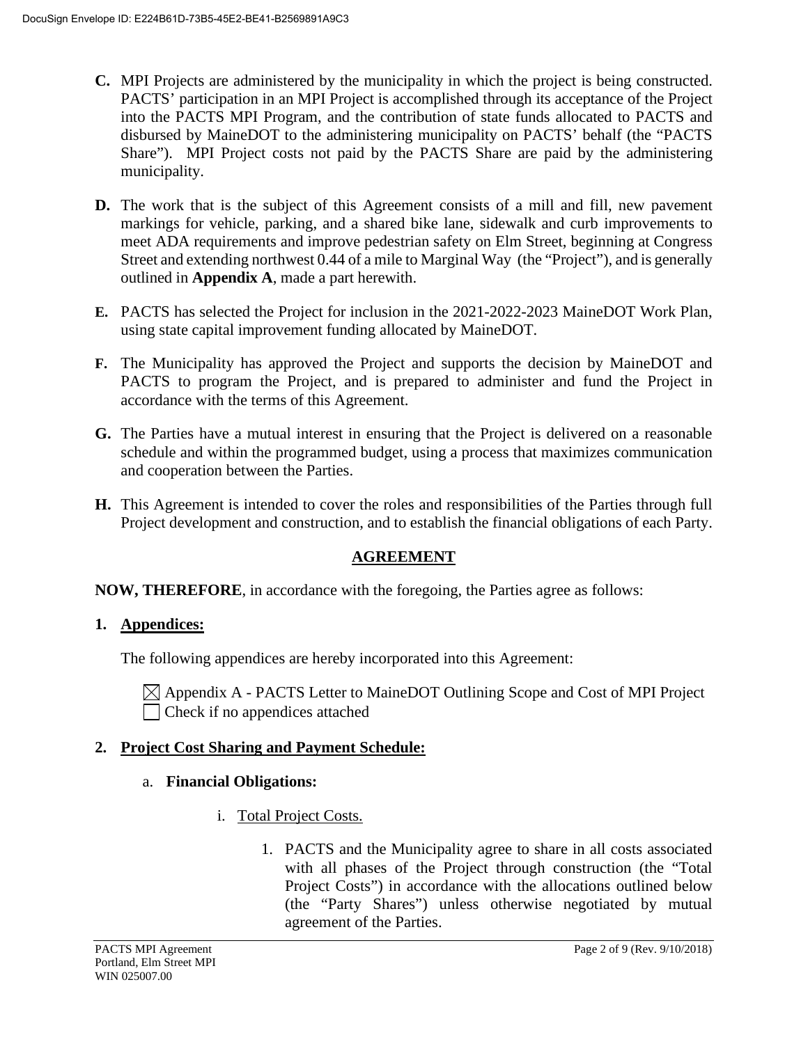- **C.** MPI Projects are administered by the municipality in which the project is being constructed. PACTS' participation in an MPI Project is accomplished through its acceptance of the Project into the PACTS MPI Program, and the contribution of state funds allocated to PACTS and disbursed by MaineDOT to the administering municipality on PACTS' behalf (the "PACTS Share"). MPI Project costs not paid by the PACTS Share are paid by the administering municipality.
- **D.** The work that is the subject of this Agreement consists of a mill and fill, new pavement markings for vehicle, parking, and a shared bike lane, sidewalk and curb improvements to meet ADA requirements and improve pedestrian safety on Elm Street, beginning at Congress Street and extending northwest 0.44 of a mile to Marginal Way (the "Project"), and is generally outlined in **Appendix A**, made a part herewith.
- **E.** PACTS has selected the Project for inclusion in the 2021-2022-2023 MaineDOT Work Plan, using state capital improvement funding allocated by MaineDOT.
- **F.** The Municipality has approved the Project and supports the decision by MaineDOT and PACTS to program the Project, and is prepared to administer and fund the Project in accordance with the terms of this Agreement.
- **G.** The Parties have a mutual interest in ensuring that the Project is delivered on a reasonable schedule and within the programmed budget, using a process that maximizes communication and cooperation between the Parties.
- **H.** This Agreement is intended to cover the roles and responsibilities of the Parties through full Project development and construction, and to establish the financial obligations of each Party.

## **AGREEMENT**

## **NOW, THEREFORE**, in accordance with the foregoing, the Parties agree as follows:

## **1. Appendices:**

The following appendices are hereby incorporated into this Agreement:

 $\boxtimes$  Appendix A - PACTS Letter to MaineDOT Outlining Scope and Cost of MPI Project  $\Box$  Check if no appendices attached

## **2. Project Cost Sharing and Payment Schedule:**

## a. **Financial Obligations:**

- i. Total Project Costs.
	- 1. PACTS and the Municipality agree to share in all costs associated with all phases of the Project through construction (the "Total Project Costs") in accordance with the allocations outlined below (the "Party Shares") unless otherwise negotiated by mutual agreement of the Parties.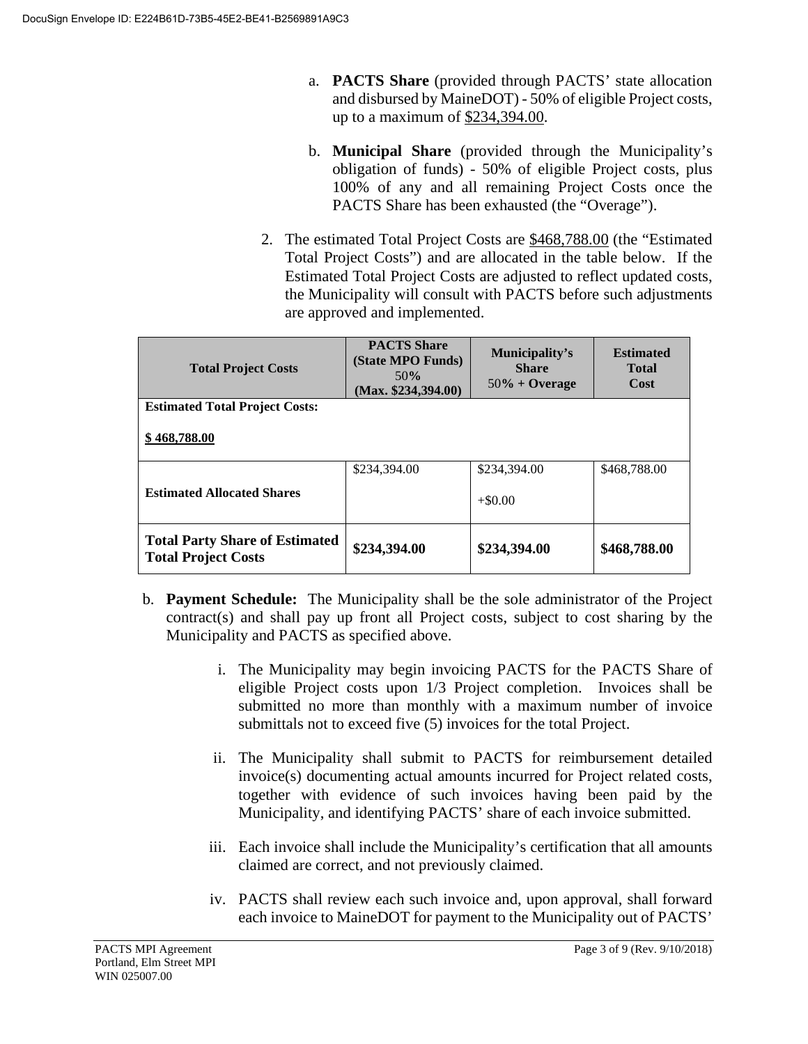- a. **PACTS Share** (provided through PACTS' state allocation and disbursed by MaineDOT) - 50% of eligible Project costs, up to a maximum of \$234,394.00.
- b. **Municipal Share** (provided through the Municipality's obligation of funds) - 50% of eligible Project costs, plus 100% of any and all remaining Project Costs once the PACTS Share has been exhausted (the "Overage").
- 2. The estimated Total Project Costs are \$468,788.00 (the "Estimated Total Project Costs") and are allocated in the table below. If the Estimated Total Project Costs are adjusted to reflect updated costs, the Municipality will consult with PACTS before such adjustments are approved and implemented.

| <b>Total Project Costs</b>                                          | <b>PACTS Share</b><br>(State MPO Funds)<br>50%<br>(Max. \$234,394.00) | Municipality's<br><b>Share</b><br>$50\% +$ Overage | <b>Estimated</b><br><b>Total</b><br>Cost |
|---------------------------------------------------------------------|-----------------------------------------------------------------------|----------------------------------------------------|------------------------------------------|
| <b>Estimated Total Project Costs:</b>                               |                                                                       |                                                    |                                          |
| \$468,788.00                                                        |                                                                       |                                                    |                                          |
|                                                                     | \$234,394.00                                                          | \$234,394.00                                       | \$468,788.00                             |
| <b>Estimated Allocated Shares</b>                                   |                                                                       | $+\$0.00$                                          |                                          |
| <b>Total Party Share of Estimated</b><br><b>Total Project Costs</b> | \$234,394.00                                                          | \$234,394.00                                       | \$468,788.00                             |

- b. **Payment Schedule:** The Municipality shall be the sole administrator of the Project contract(s) and shall pay up front all Project costs, subject to cost sharing by the Municipality and PACTS as specified above.
	- i. The Municipality may begin invoicing PACTS for the PACTS Share of eligible Project costs upon 1/3 Project completion. Invoices shall be submitted no more than monthly with a maximum number of invoice submittals not to exceed five (5) invoices for the total Project.
	- ii. The Municipality shall submit to PACTS for reimbursement detailed invoice(s) documenting actual amounts incurred for Project related costs, together with evidence of such invoices having been paid by the Municipality, and identifying PACTS' share of each invoice submitted.
	- iii. Each invoice shall include the Municipality's certification that all amounts claimed are correct, and not previously claimed.
	- iv. PACTS shall review each such invoice and, upon approval, shall forward each invoice to MaineDOT for payment to the Municipality out of PACTS'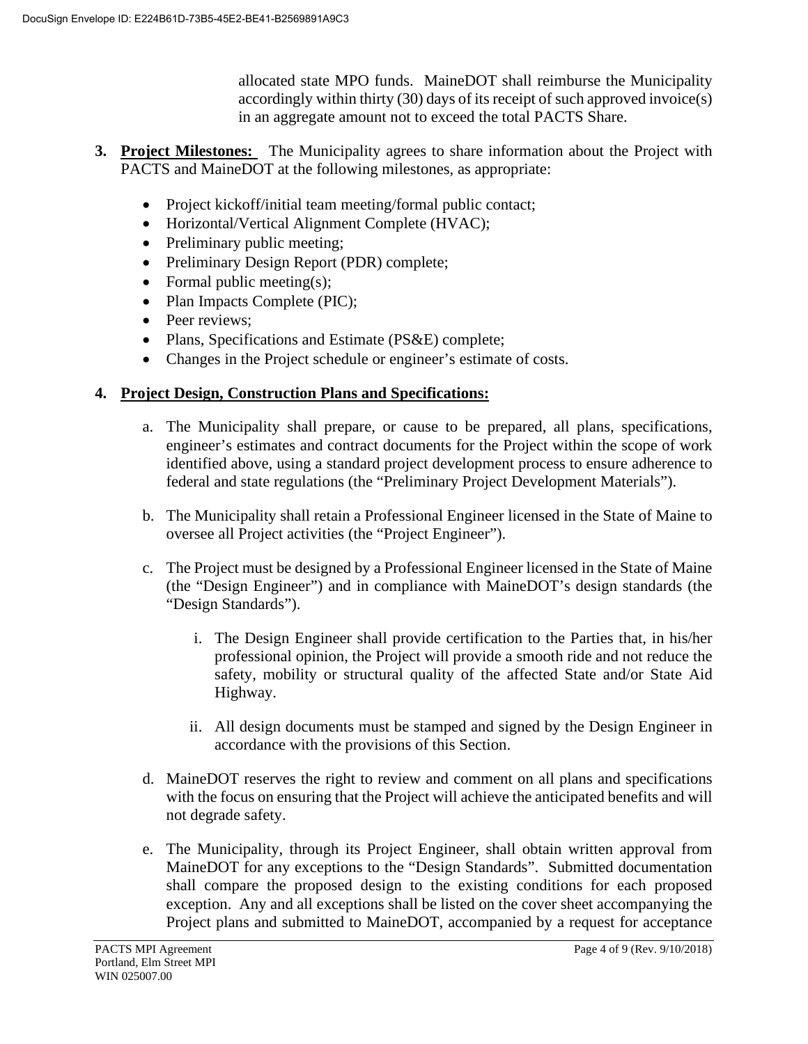allocated state MPO funds. MaineDOT shall reimburse the Municipality accordingly within thirty (30) days of its receipt of such approved invoice(s) in an aggregate amount not to exceed the total PACTS Share.

- **3. Project Milestones:** The Municipality agrees to share information about the Project with PACTS and MaineDOT at the following milestones, as appropriate:
	- Project kickoff/initial team meeting/formal public contact;
	- Horizontal/Vertical Alignment Complete (HVAC);
	- Preliminary public meeting;
	- Preliminary Design Report (PDR) complete;
	- Formal public meeting(s);
	- Plan Impacts Complete (PIC);
	- Peer reviews:
	- Plans, Specifications and Estimate (PS&E) complete;
	- Changes in the Project schedule or engineer's estimate of costs.

#### **4. Project Design, Construction Plans and Specifications:**

- a. The Municipality shall prepare, or cause to be prepared, all plans, specifications, engineer's estimates and contract documents for the Project within the scope of work identified above, using a standard project development process to ensure adherence to federal and state regulations (the "Preliminary Project Development Materials").
- b. The Municipality shall retain a Professional Engineer licensed in the State of Maine to oversee all Project activities (the "Project Engineer").
- c. The Project must be designed by a Professional Engineer licensed in the State of Maine (the "Design Engineer") and in compliance with MaineDOT's design standards (the "Design Standards").
	- i. The Design Engineer shall provide certification to the Parties that, in his/her professional opinion, the Project will provide a smooth ride and not reduce the safety, mobility or structural quality of the affected State and/or State Aid Highway.
	- ii. All design documents must be stamped and signed by the Design Engineer in accordance with the provisions of this Section.
- d. MaineDOT reserves the right to review and comment on all plans and specifications with the focus on ensuring that the Project will achieve the anticipated benefits and will not degrade safety.
- e. The Municipality, through its Project Engineer, shall obtain written approval from MaineDOT for any exceptions to the "Design Standards". Submitted documentation shall compare the proposed design to the existing conditions for each proposed exception. Any and all exceptions shall be listed on the cover sheet accompanying the Project plans and submitted to MaineDOT, accompanied by a request for acceptance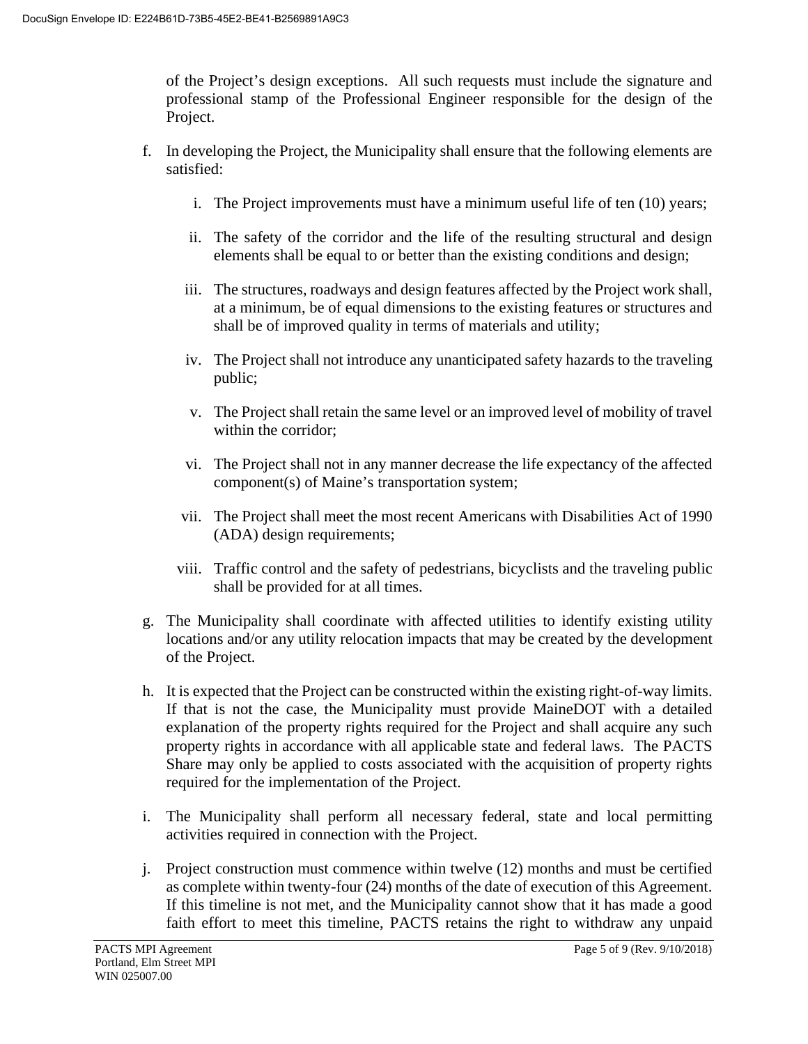of the Project's design exceptions. All such requests must include the signature and professional stamp of the Professional Engineer responsible for the design of the Project.

- f. In developing the Project, the Municipality shall ensure that the following elements are satisfied:
	- i. The Project improvements must have a minimum useful life of ten (10) years;
	- ii. The safety of the corridor and the life of the resulting structural and design elements shall be equal to or better than the existing conditions and design;
	- iii. The structures, roadways and design features affected by the Project work shall, at a minimum, be of equal dimensions to the existing features or structures and shall be of improved quality in terms of materials and utility;
	- iv. The Project shall not introduce any unanticipated safety hazards to the traveling public;
	- v. The Project shall retain the same level or an improved level of mobility of travel within the corridor;
	- vi. The Project shall not in any manner decrease the life expectancy of the affected component(s) of Maine's transportation system;
	- vii. The Project shall meet the most recent Americans with Disabilities Act of 1990 (ADA) design requirements;
	- viii. Traffic control and the safety of pedestrians, bicyclists and the traveling public shall be provided for at all times.
- g. The Municipality shall coordinate with affected utilities to identify existing utility locations and/or any utility relocation impacts that may be created by the development of the Project.
- h. It is expected that the Project can be constructed within the existing right-of-way limits. If that is not the case, the Municipality must provide MaineDOT with a detailed explanation of the property rights required for the Project and shall acquire any such property rights in accordance with all applicable state and federal laws. The PACTS Share may only be applied to costs associated with the acquisition of property rights required for the implementation of the Project.
- i. The Municipality shall perform all necessary federal, state and local permitting activities required in connection with the Project.
- j. Project construction must commence within twelve (12) months and must be certified as complete within twenty-four (24) months of the date of execution of this Agreement. If this timeline is not met, and the Municipality cannot show that it has made a good faith effort to meet this timeline, PACTS retains the right to withdraw any unpaid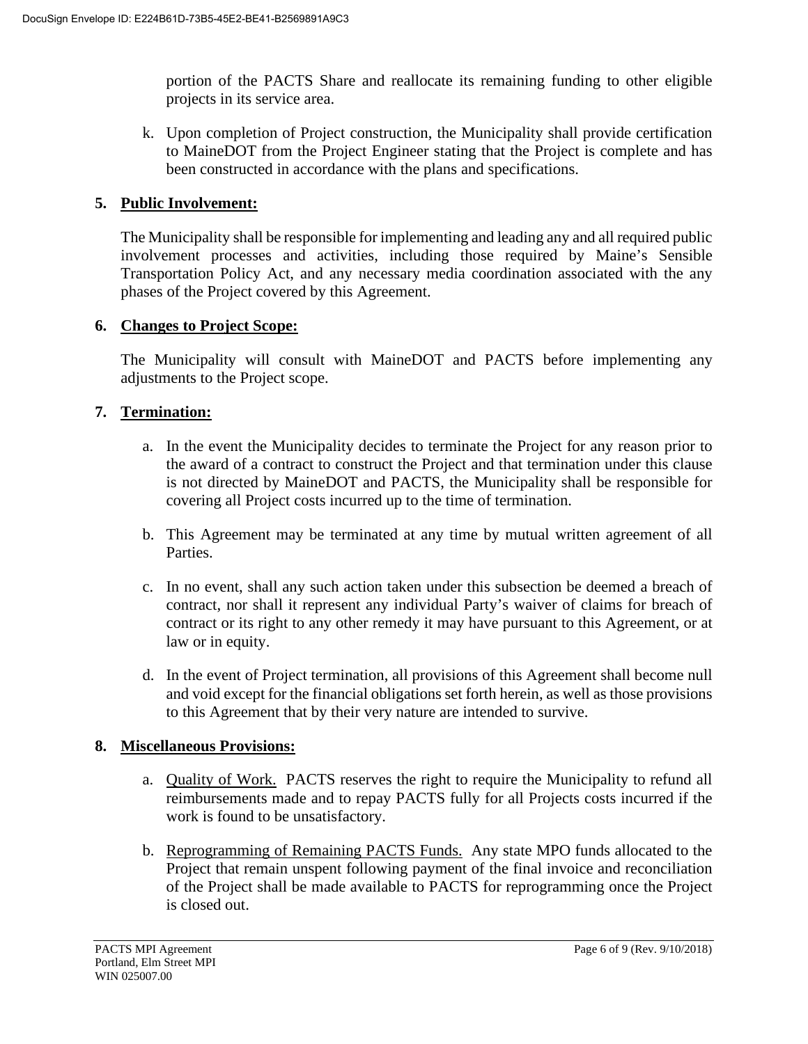portion of the PACTS Share and reallocate its remaining funding to other eligible projects in its service area.

k. Upon completion of Project construction, the Municipality shall provide certification to MaineDOT from the Project Engineer stating that the Project is complete and has been constructed in accordance with the plans and specifications.

#### **5. Public Involvement:**

The Municipality shall be responsible for implementing and leading any and all required public involvement processes and activities, including those required by Maine's Sensible Transportation Policy Act, and any necessary media coordination associated with the any phases of the Project covered by this Agreement.

#### **6. Changes to Project Scope:**

The Municipality will consult with MaineDOT and PACTS before implementing any adjustments to the Project scope.

## **7. Termination:**

- a. In the event the Municipality decides to terminate the Project for any reason prior to the award of a contract to construct the Project and that termination under this clause is not directed by MaineDOT and PACTS, the Municipality shall be responsible for covering all Project costs incurred up to the time of termination.
- b. This Agreement may be terminated at any time by mutual written agreement of all Parties.
- c. In no event, shall any such action taken under this subsection be deemed a breach of contract, nor shall it represent any individual Party's waiver of claims for breach of contract or its right to any other remedy it may have pursuant to this Agreement, or at law or in equity.
- d. In the event of Project termination, all provisions of this Agreement shall become null and void except for the financial obligations set forth herein, as well as those provisions to this Agreement that by their very nature are intended to survive.

#### **8. Miscellaneous Provisions:**

- a. Quality of Work. PACTS reserves the right to require the Municipality to refund all reimbursements made and to repay PACTS fully for all Projects costs incurred if the work is found to be unsatisfactory.
- b. Reprogramming of Remaining PACTS Funds. Any state MPO funds allocated to the Project that remain unspent following payment of the final invoice and reconciliation of the Project shall be made available to PACTS for reprogramming once the Project is closed out.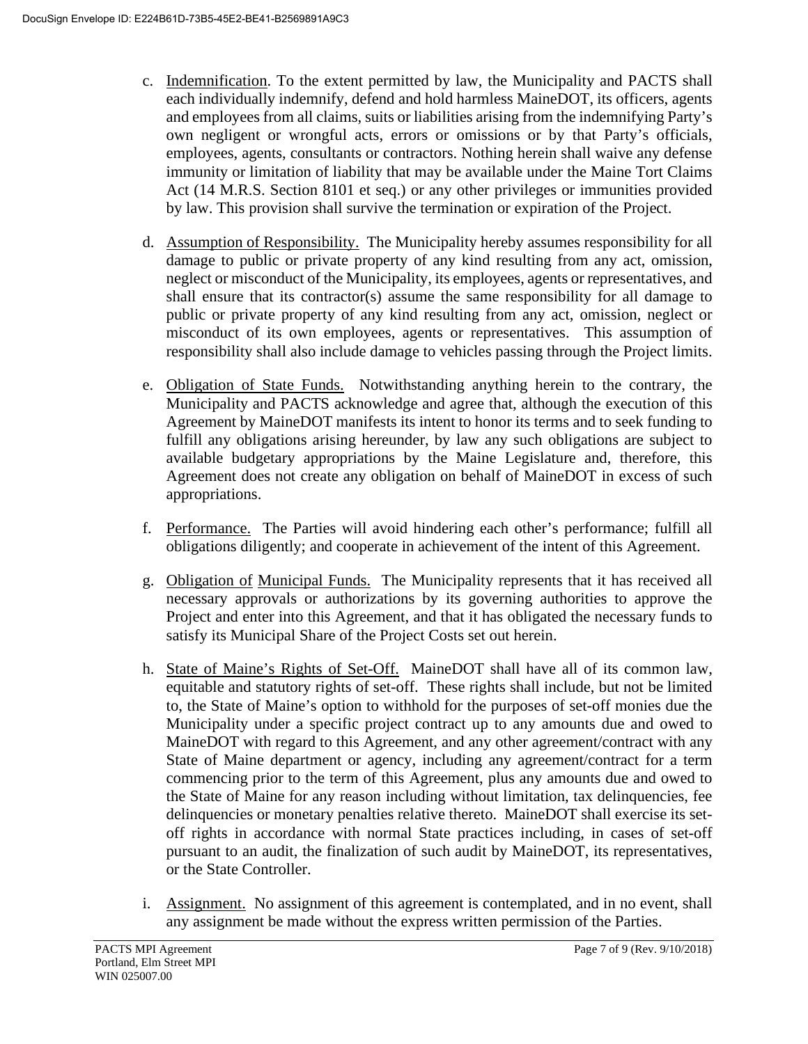- c. Indemnification. To the extent permitted by law, the Municipality and PACTS shall each individually indemnify, defend and hold harmless MaineDOT, its officers, agents and employees from all claims, suits or liabilities arising from the indemnifying Party's own negligent or wrongful acts, errors or omissions or by that Party's officials, employees, agents, consultants or contractors. Nothing herein shall waive any defense immunity or limitation of liability that may be available under the Maine Tort Claims Act (14 M.R.S. Section 8101 et seq.) or any other privileges or immunities provided by law. This provision shall survive the termination or expiration of the Project.
- d. Assumption of Responsibility. The Municipality hereby assumes responsibility for all damage to public or private property of any kind resulting from any act, omission, neglect or misconduct of the Municipality, its employees, agents or representatives, and shall ensure that its contractor(s) assume the same responsibility for all damage to public or private property of any kind resulting from any act, omission, neglect or misconduct of its own employees, agents or representatives. This assumption of responsibility shall also include damage to vehicles passing through the Project limits.
- e. Obligation of State Funds. Notwithstanding anything herein to the contrary, the Municipality and PACTS acknowledge and agree that, although the execution of this Agreement by MaineDOT manifests its intent to honor its terms and to seek funding to fulfill any obligations arising hereunder, by law any such obligations are subject to available budgetary appropriations by the Maine Legislature and, therefore, this Agreement does not create any obligation on behalf of MaineDOT in excess of such appropriations.
- f. Performance. The Parties will avoid hindering each other's performance; fulfill all obligations diligently; and cooperate in achievement of the intent of this Agreement.
- g. Obligation of Municipal Funds. The Municipality represents that it has received all necessary approvals or authorizations by its governing authorities to approve the Project and enter into this Agreement, and that it has obligated the necessary funds to satisfy its Municipal Share of the Project Costs set out herein.
- h. State of Maine's Rights of Set-Off. MaineDOT shall have all of its common law, equitable and statutory rights of set-off. These rights shall include, but not be limited to, the State of Maine's option to withhold for the purposes of set-off monies due the Municipality under a specific project contract up to any amounts due and owed to MaineDOT with regard to this Agreement, and any other agreement/contract with any State of Maine department or agency, including any agreement/contract for a term commencing prior to the term of this Agreement, plus any amounts due and owed to the State of Maine for any reason including without limitation, tax delinquencies, fee delinquencies or monetary penalties relative thereto. MaineDOT shall exercise its setoff rights in accordance with normal State practices including, in cases of set-off pursuant to an audit, the finalization of such audit by MaineDOT, its representatives, or the State Controller.
- i. Assignment. No assignment of this agreement is contemplated, and in no event, shall any assignment be made without the express written permission of the Parties.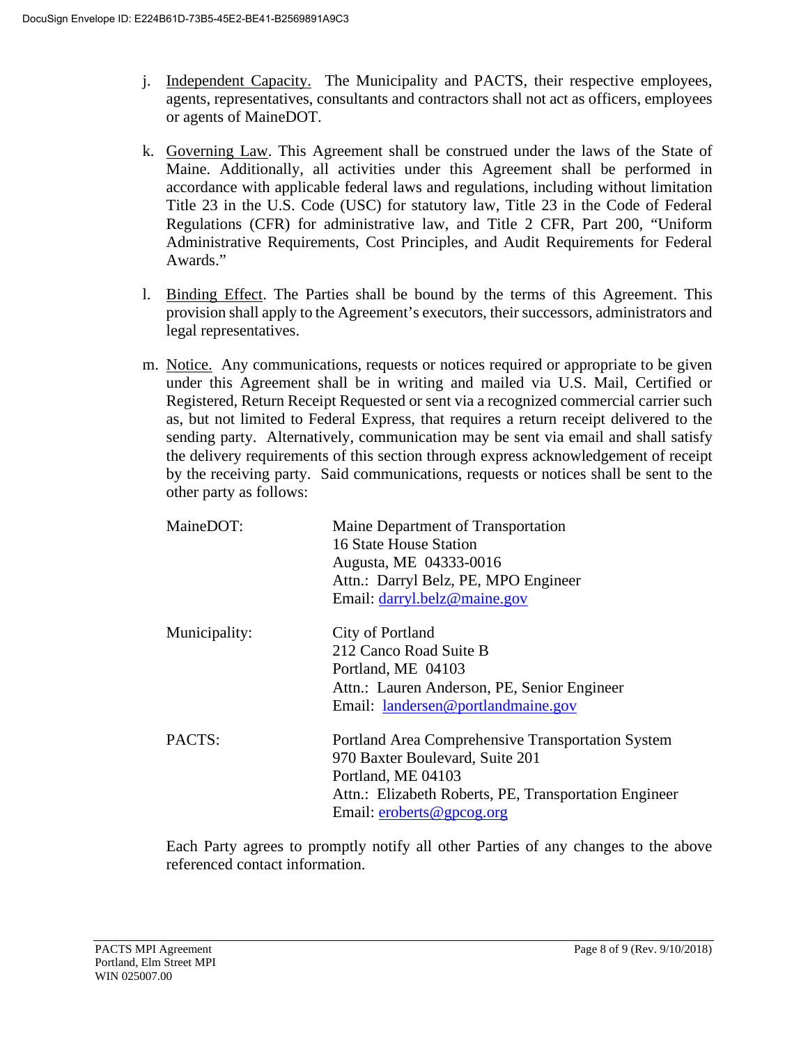- j. Independent Capacity. The Municipality and PACTS, their respective employees, agents, representatives, consultants and contractors shall not act as officers, employees or agents of MaineDOT.
- k. Governing Law. This Agreement shall be construed under the laws of the State of Maine. Additionally, all activities under this Agreement shall be performed in accordance with applicable federal laws and regulations, including without limitation Title 23 in the U.S. Code (USC) for statutory law, Title 23 in the Code of Federal Regulations (CFR) for administrative law, and Title 2 CFR, Part 200, "Uniform Administrative Requirements, Cost Principles, and Audit Requirements for Federal Awards."
- l. Binding Effect. The Parties shall be bound by the terms of this Agreement. This provision shall apply to the Agreement's executors, their successors, administrators and legal representatives.
- m. Notice. Any communications, requests or notices required or appropriate to be given under this Agreement shall be in writing and mailed via U.S. Mail, Certified or Registered, Return Receipt Requested or sent via a recognized commercial carrier such as, but not limited to Federal Express, that requires a return receipt delivered to the sending party. Alternatively, communication may be sent via email and shall satisfy the delivery requirements of this section through express acknowledgement of receipt by the receiving party. Said communications, requests or notices shall be sent to the other party as follows:

| MaineDOT:     | Maine Department of Transportation                    |
|---------------|-------------------------------------------------------|
|               | 16 State House Station                                |
|               | Augusta, ME 04333-0016                                |
|               | Attn.: Darryl Belz, PE, MPO Engineer                  |
|               | Email: darryl.belz@maine.gov                          |
| Municipality: | City of Portland                                      |
|               | 212 Canco Road Suite B                                |
|               | Portland, ME 04103                                    |
|               | Attn.: Lauren Anderson, PE, Senior Engineer           |
|               | Email: landersen@portlandmaine.gov                    |
| PACTS:        | Portland Area Comprehensive Transportation System     |
|               | 970 Baxter Boulevard, Suite 201                       |
|               | Portland, ME 04103                                    |
|               | Attn.: Elizabeth Roberts, PE, Transportation Engineer |
|               | Email: $eroberts@gpcog.org$                           |

Each Party agrees to promptly notify all other Parties of any changes to the above referenced contact information.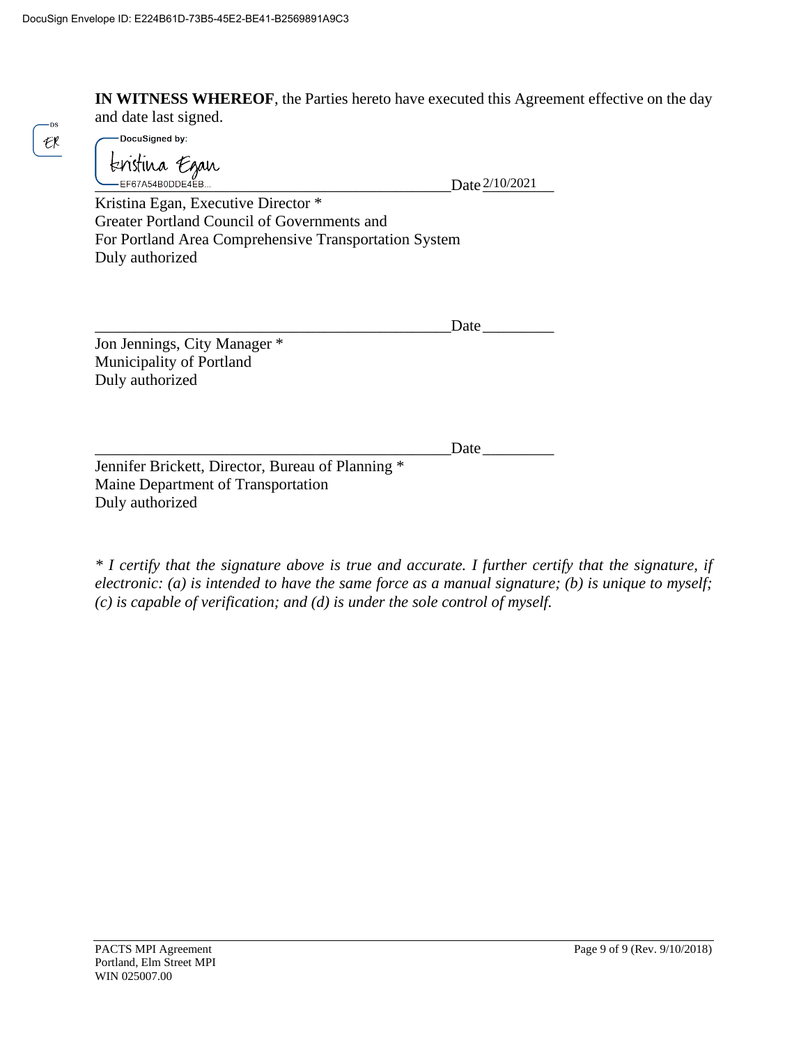**IN WITNESS WHEREOF**, the Parties hereto have executed this Agreement effective on the day and date last signed.

DocuSigned by:

**LEF67A54B0DDE4EB... Date** 2/10/2021

Kristina Egan, Executive Director \* Greater Portland Council of Governments and For Portland Area Comprehensive Transportation System Duly authorized

 $\text{Date}$ 

Jon Jennings, City Manager \* Municipality of Portland Duly authorized

\_\_\_\_\_\_\_\_\_\_\_\_\_\_\_\_\_\_\_\_\_\_\_\_\_\_\_\_\_\_\_\_\_\_\_\_\_\_\_\_\_\_\_\_\_Date\_\_\_\_\_\_\_\_\_

Jennifer Brickett, Director, Bureau of Planning \* Maine Department of Transportation Duly authorized

*\* I certify that the signature above is true and accurate. I further certify that the signature, if electronic: (a) is intended to have the same force as a manual signature; (b) is unique to myself; (c) is capable of verification; and (d) is under the sole control of myself.*

ns.  $\epsilon$ k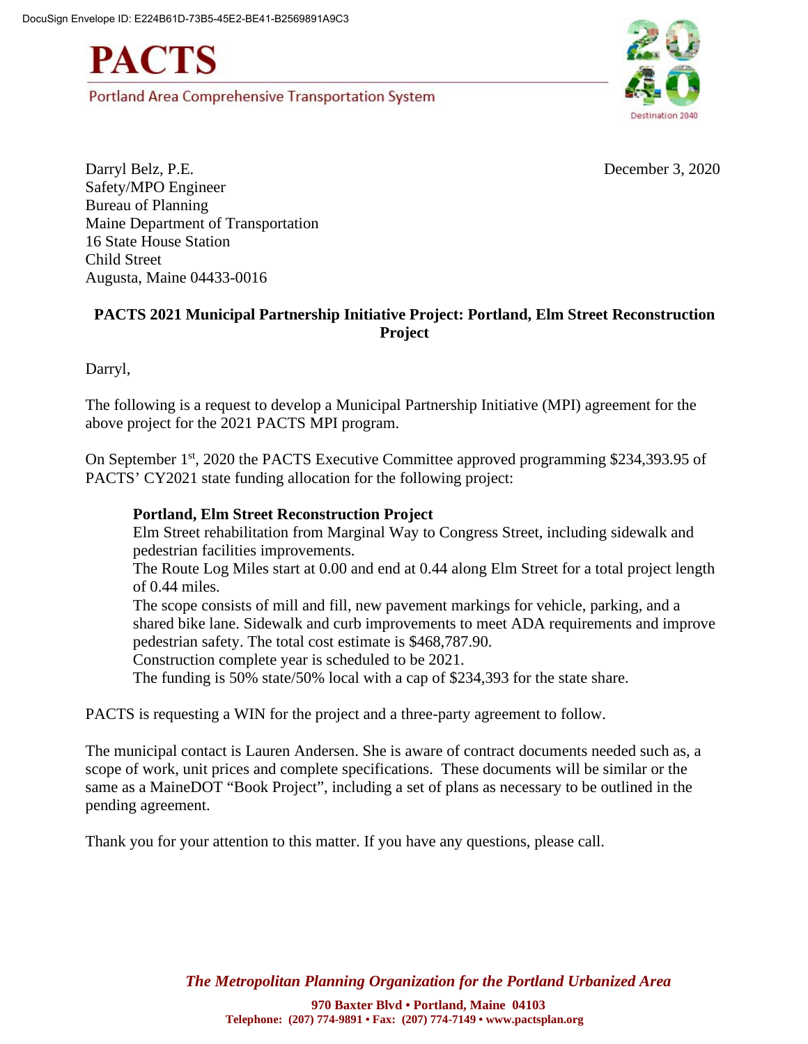**PACTS** 

Portland Area Comprehensive Transportation System



Darryl Belz, P.E. December 3, 2020 Safety/MPO Engineer Bureau of Planning Maine Department of Transportation 16 State House Station Child Street Augusta, Maine 04433-0016

#### **PACTS 2021 Municipal Partnership Initiative Project: Portland, Elm Street Reconstruction Project**

Darryl,

The following is a request to develop a Municipal Partnership Initiative (MPI) agreement for the above project for the 2021 PACTS MPI program.

On September 1st, 2020 the PACTS Executive Committee approved programming \$234,393.95 of PACTS' CY2021 state funding allocation for the following project:

#### **Portland, Elm Street Reconstruction Project**

Elm Street rehabilitation from Marginal Way to Congress Street, including sidewalk and pedestrian facilities improvements.

The Route Log Miles start at 0.00 and end at 0.44 along Elm Street for a total project length of 0.44 miles.

The scope consists of mill and fill, new pavement markings for vehicle, parking, and a shared bike lane. Sidewalk and curb improvements to meet ADA requirements and improve pedestrian safety. The total cost estimate is \$468,787.90.

Construction complete year is scheduled to be 2021.

The funding is 50% state/50% local with a cap of \$234,393 for the state share.

PACTS is requesting a WIN for the project and a three-party agreement to follow.

The municipal contact is Lauren Andersen. She is aware of contract documents needed such as, a scope of work, unit prices and complete specifications. These documents will be similar or the same as a MaineDOT "Book Project", including a set of plans as necessary to be outlined in the pending agreement.

Thank you for your attention to this matter. If you have any questions, please call.

*The Metropolitan Planning Organization for the Portland Urbanized Area*

**970 Baxter Blvd • Portland, Maine 04103 Telephone: (207) 774-9891 • Fax: (207) 774-7149 • www.pactsplan.org**